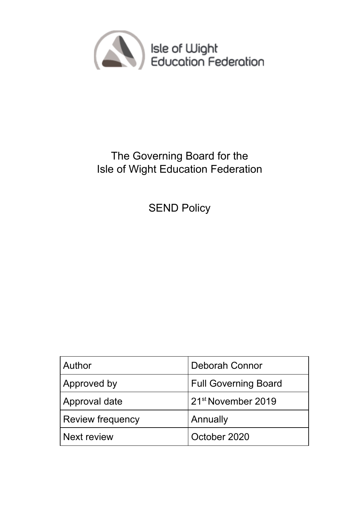

# The Governing Board for the Isle of Wight Education Federation

SEND Policy

| Author                  | <b>Deborah Connor</b>          |
|-------------------------|--------------------------------|
| <b>Approved by</b>      | <b>Full Governing Board</b>    |
| Approval date           | 21 <sup>st</sup> November 2019 |
| <b>Review frequency</b> | Annually                       |
| Next review             | October 2020                   |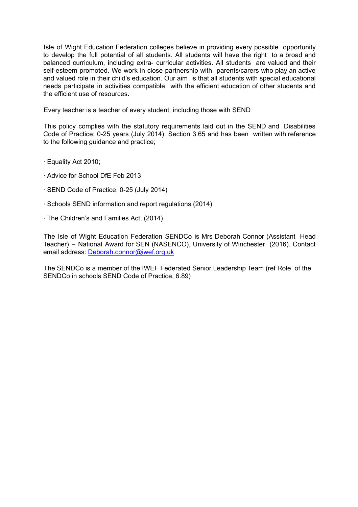Isle of Wight Education Federation colleges believe in providing every possible opportunity to develop the full potential of all students. All students will have the right to a broad and balanced curriculum, including extra- curricular activities. All students are valued and their self-esteem promoted. We work in close partnership with parents/carers who play an active and valued role in their child's education. Our aim is that all students with special educational needs participate in activities compatible with the efficient education of other students and the efficient use of resources.

Every teacher is a teacher of every student, including those with SEND

This policy complies with the statutory requirements laid out in the SEND and Disabilities Code of Practice; 0-25 years (July 2014). Section 3.65 and has been written with reference to the following guidance and practice;

- ∙ Equality Act 2010;
- ∙ Advice for School DfE Feb 2013
- ∙ SEND Code of Practice; 0-25 (July 2014)
- ∙ Schools SEND information and report regulations (2014)
- ∙ The Children's and Families Act, (2014)

The Isle of Wight Education Federation SENDCo is Mrs Deborah Connor (Assistant Head Teacher) – National Award for SEN (NASENCO), University of Winchester (2016). Contact email address: Deborah.connor@iwef.org.uk

The SENDCo is a member of the IWEF Federated Senior Leadership Team (ref Role of the SENDCo in schools SEND Code of Practice, 6.89)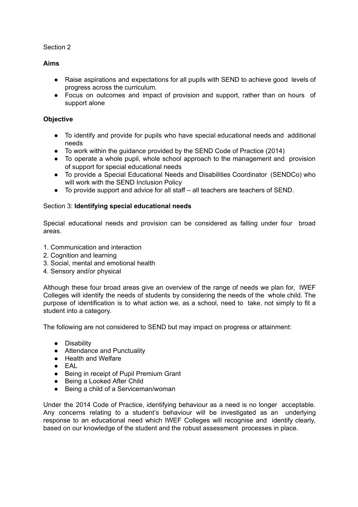## Section 2

# **Aims**

- Raise aspirations and expectations for all pupils with SEND to achieve good levels of progress across the curriculum.
- Focus on outcomes and impact of provision and support, rather than on hours of support alone

### **Objective**

- To identify and provide for pupils who have special educational needs and additional needs
- To work within the guidance provided by the SEND Code of Practice (2014)
- To operate a whole pupil, whole school approach to the management and provision of support for special educational needs
- To provide a Special Educational Needs and Disabilities Coordinator (SENDCo) who will work with the SEND Inclusion Policy
- To provide support and advice for all staff all teachers are teachers of SEND.

# Section 3: **Identifying special educational needs**

Special educational needs and provision can be considered as falling under four broad areas.

- 1. Communication and interaction
- 2. Cognition and learning
- 3. Social, mental and emotional health
- 4. Sensory and/or physical

Although these four broad areas give an overview of the range of needs we plan for, IWEF Colleges will identify the needs of students by considering the needs of the whole child. The purpose of identification is to what action we, as a school, need to take, not simply to fit a student into a category.

The following are not considered to SEND but may impact on progress or attainment:

- Disability
- Attendance and Punctuality
- Health and Welfare
- EAL
- Being in receipt of Pupil Premium Grant
- Being a Looked After Child
- Being a child of a Serviceman/woman

Under the 2014 Code of Practice, identifying behaviour as a need is no longer acceptable. Any concerns relating to a student's behaviour will be investigated as an underlying response to an educational need which IWEF Colleges will recognise and identify clearly, based on our knowledge of the student and the robust assessment processes in place.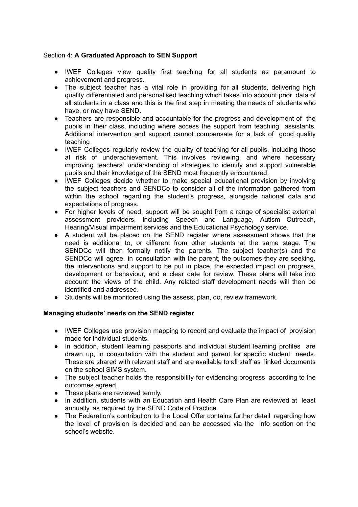## Section 4: **A Graduated Approach to SEN Support**

- IWEF Colleges view quality first teaching for all students as paramount to achievement and progress.
- The subject teacher has a vital role in providing for all students, delivering high quality differentiated and personalised teaching which takes into account prior data of all students in a class and this is the first step in meeting the needs of students who have, or may have SEND.
- Teachers are responsible and accountable for the progress and development of the pupils in their class, including where access the support from teaching assistants. Additional intervention and support cannot compensate for a lack of good quality teaching
- IWEF Colleges regularly review the quality of teaching for all pupils, including those at risk of underachievement. This involves reviewing, and where necessary improving teachers' understanding of strategies to identify and support vulnerable pupils and their knowledge of the SEND most frequently encountered.
- IWEF Colleges decide whether to make special educational provision by involving the subject teachers and SENDCo to consider all of the information gathered from within the school regarding the student's progress, alongside national data and expectations of progress.
- For higher levels of need, support will be sought from a range of specialist external assessment providers, including Speech and Language, Autism Outreach, Hearing/Visual impairment services and the Educational Psychology service.
- A student will be placed on the SEND register where assessment shows that the need is additional to, or different from other students at the same stage. The SENDCo will then formally notify the parents. The subject teacher(s) and the SENDCo will agree, in consultation with the parent, the outcomes they are seeking, the interventions and support to be put in place, the expected impact on progress, development or behaviour, and a clear date for review. These plans will take into account the views of the child. Any related staff development needs will then be identified and addressed.
- Students will be monitored using the assess, plan, do, review framework.

# **Managing students' needs on the SEND register**

- IWEF Colleges use provision mapping to record and evaluate the impact of provision made for individual students.
- In addition, student learning passports and individual student learning profiles are drawn up, in consultation with the student and parent for specific student needs. These are shared with relevant staff and are available to all staff as linked documents on the school SIMS system.
- The subject teacher holds the responsibility for evidencing progress according to the outcomes agreed.
- These plans are reviewed termly.
- In addition, students with an Education and Health Care Plan are reviewed at least annually, as required by the SEND Code of Practice.
- The Federation's contribution to the Local Offer contains further detail regarding how the level of provision is decided and can be accessed via the info section on the school's website.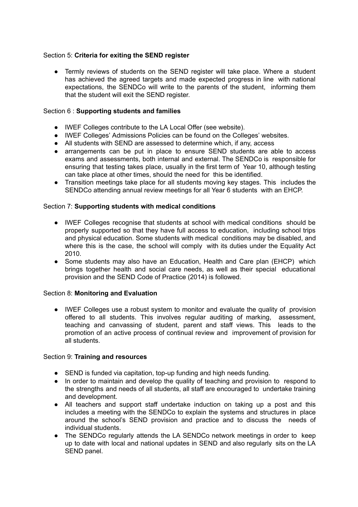### Section 5: **Criteria for exiting the SEND register**

● Termly reviews of students on the SEND register will take place. Where a student has achieved the agreed targets and made expected progress in line with national expectations, the SENDCo will write to the parents of the student, informing them that the student will exit the SEND register.

## Section 6 : **Supporting students and families**

- IWEF Colleges contribute to the LA Local Offer (see website).
- IWEF Colleges' Admissions Policies can be found on the Colleges' websites.
- All students with SEND are assessed to determine which, if any, access
- arrangements can be put in place to ensure SEND students are able to access exams and assessments, both internal and external. The SENDCo is responsible for ensuring that testing takes place, usually in the first term of Year 10, although testing can take place at other times, should the need for this be identified.
- Transition meetings take place for all students moving key stages. This includes the SENDCo attending annual review meetings for all Year 6 students with an EHCP.

### Section 7: **Supporting students with medical conditions**

- IWEF Colleges recognise that students at school with medical conditions should be properly supported so that they have full access to education, including school trips and physical education. Some students with medical conditions may be disabled, and where this is the case, the school will comply with its duties under the Equality Act 2010.
- Some students may also have an Education, Health and Care plan (EHCP) which brings together health and social care needs, as well as their special educational provision and the SEND Code of Practice (2014) is followed.

### Section 8: **Monitoring and Evaluation**

● IWEF Colleges use a robust system to monitor and evaluate the quality of provision offered to all students. This involves regular auditing of marking, assessment, teaching and canvassing of student, parent and staff views. This leads to the promotion of an active process of continual review and improvement of provision for all students.

### Section 9: **Training and resources**

- SEND is funded via capitation, top-up funding and high needs funding.
- In order to maintain and develop the quality of teaching and provision to respond to the strengths and needs of all students, all staff are encouraged to undertake training and development.
- All teachers and support staff undertake induction on taking up a post and this includes a meeting with the SENDCo to explain the systems and structures in place around the school's SEND provision and practice and to discuss the needs of individual students.
- The SENDCo regularly attends the LA SENDCo network meetings in order to keep up to date with local and national updates in SEND and also regularly sits on the LA SEND panel.